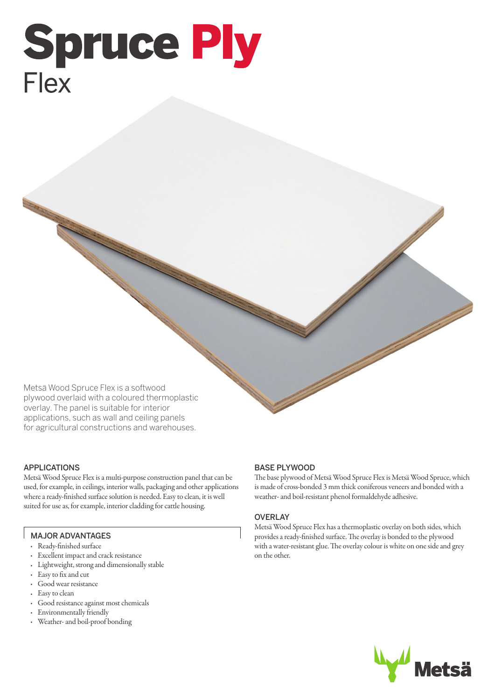# **Spruce Ply** Flex

Metsä Wood Spruce Flex is a softwood plywood overlaid with a coloured thermoplastic overlay. The panel is suitable for interior applications, such as wall and ceiling panels for agricultural constructions and warehouses.

# APPLICATIONS

Metsä Wood Spruce Flex is a multi-purpose construction panel that can be used, for example, in ceilings, interior walls, packaging and other applications where a ready-finished surface solution is needed. Easy to clean, it is well suited for use as, for example, interior cladding for cattle housing.

## MAJOR ADVANTAGES

- Ready-finished surface
- Excellent impact and crack resistance
- Lightweight, strong and dimensionally stable
- Easy to fix and cut
- Good wear resistance
- Easy to clean
- Good resistance against most chemicals
- Environmentally friendly
- Weather- and boil-proof bonding

# BASE PLYWOOD

The base plywood of Metsä Wood Spruce Flex is Metsä Wood Spruce, which is made of cross-bonded 3 mm thick coniferous veneers and bonded with a weather- and boil-resistant phenol formaldehyde adhesive.

### **OVERLAY**

Metsä Wood Spruce Flex has a thermoplastic overlay on both sides, which provides a ready-finished surface. The overlay is bonded to the plywood with a water-resistant glue. The overlay colour is white on one side and grey on the other.